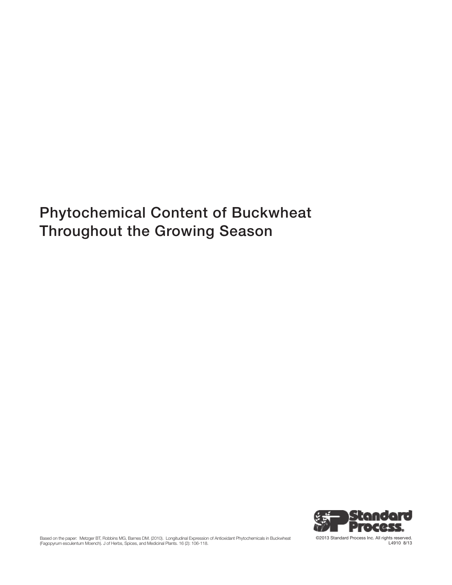# Phytochemical Content of Buckwheat Throughout the Growing Season



Based on the paper: Metzger BT, Robbins MG, Barnes DM. (2010). Longitudinal Expression of Antioxidant Phytochemicals in Buckwheat<br>(Fagopyrum esculentum Moench). J of Herbs, Spices, and Medicinal Plants. 16 (2): 106-118.

©2013 Standard Process Inc. All rights reserved. L4910 8/13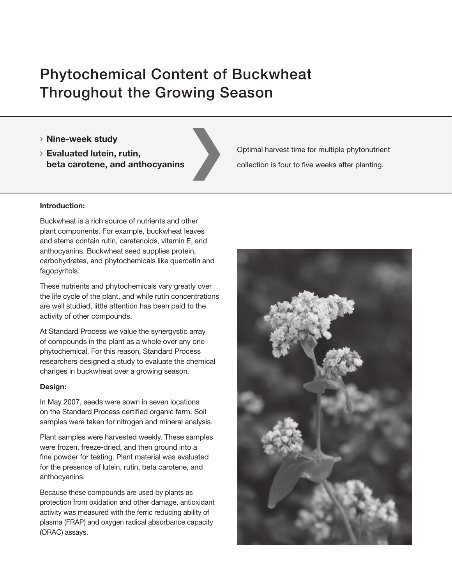# Phytochemical Content of Buckwheat Throughout the Growing Season

- › Nine-week study
- › Evaluated lutein, rutin, beta carotene, and anthocyanins

Optimal harvest time for multiple phytonutrient collection is four to five weeks after planting.

### Introduction:

Buckwheat is a rich source of nutrients and other plant components. For example, buckwheat leaves and stems contain rutin, caretenoids, vitamin E, and anthocyanins. Buckwheat seed supplies protein, carbohydrates, and phytochemicals like quercetin and fagopyritols.

These nutrients and phytochemicals vary greatly over the life cycle of the plant, and while rutin concentrations are well studied, little attention has been paid to the activity of other compounds.

At Standard Process we value the synergystic array of compounds in the plant as a whole over any one phytochemical. For this reason, Standard Process researchers designed a study to evaluate the chemical changes in buckwheat over a growing season.

### Design:

In May 2007, seeds were sown in seven locations on the Standard Process certified organic farm. Soil samples were taken for nitrogen and mineral analysis.

Plant samples were harvested weekly. These samples were frozen, freeze-dried, and then ground into a fine powder for testing. Plant material was evaluated for the presence of lutein, rutin, beta carotene, and anthocyanins.

Because these compounds are used by plants as protection from oxidation and other damage, antioxidant activity was measured with the ferric reducing ability of plasma (FRAP) and oxygen radical absorbance capacity (ORAC) assays.